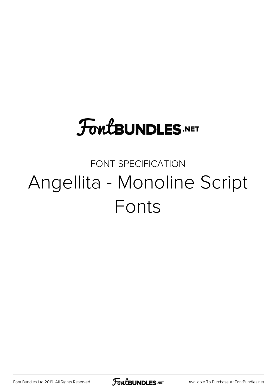## **FoutBUNDLES.NET**

## FONT SPECIFICATION Angellita - Monoline Script Fonts

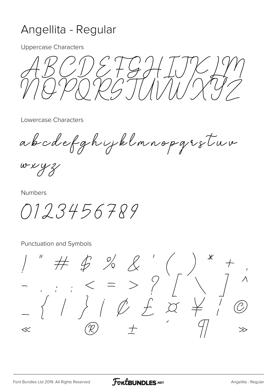## Angellita - Regular

**Uppercase Characters** 

 $\frac{1}{2}\int_{0}^{1}$ 

Lowercase Characters

abodefghijklmnopgrstuv

 $w$  x y z

**Numbers** 

0123456789

Punctuation and Symbols

 $$ \div$$  $1/\sqrt{2}$  $\overline{\mathcal{X}}$  $\ll$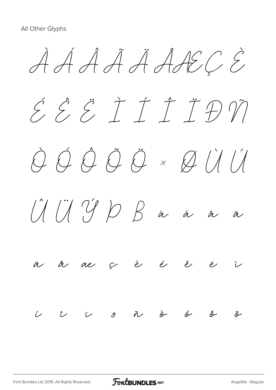À Á Â Ã Ä ÅÆÇ È É Ê Ë Ì Í Î Ï Ð Ñ Ò Ó Ô Õ Ö × Ø Ù Ú  $U \cup U \cup V \cup V$  à á â ä å æ ç è é ê ë ì í î ï ð ñ ò ó ô õ